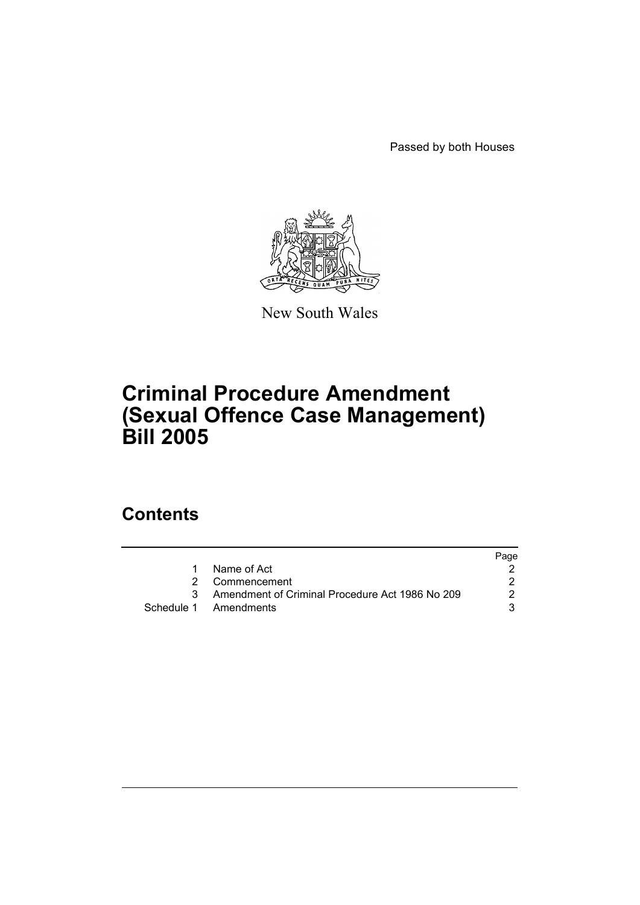Passed by both Houses



New South Wales

# **Criminal Procedure Amendment (Sexual Offence Case Management) Bill 2005**

## **Contents**

|    |                                                   | Page |
|----|---------------------------------------------------|------|
| 1. | Name of Act                                       |      |
|    | 2 Commencement                                    |      |
|    | 3 Amendment of Criminal Procedure Act 1986 No 209 | 2    |
|    | Schedule 1 Amendments                             |      |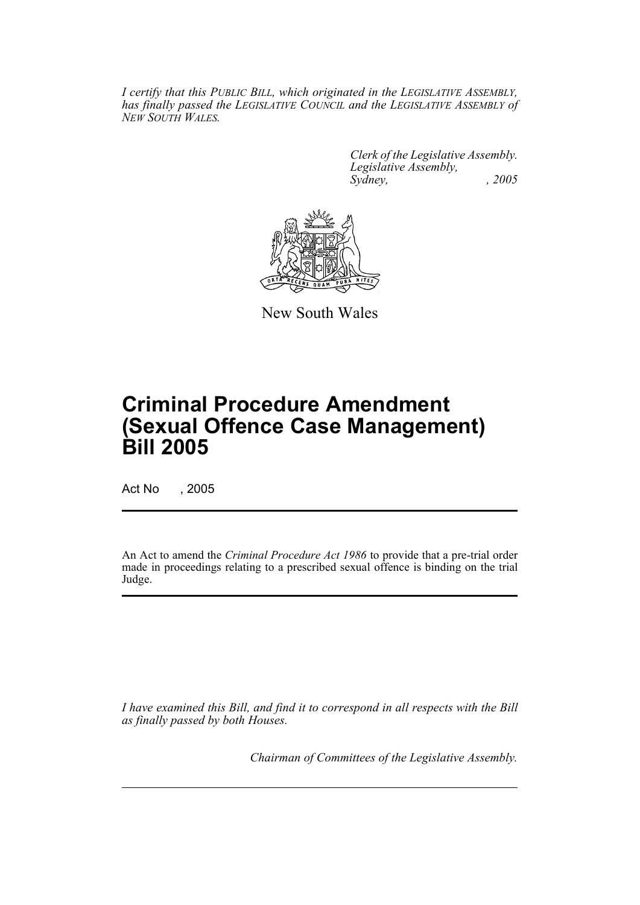*I certify that this PUBLIC BILL, which originated in the LEGISLATIVE ASSEMBLY, has finally passed the LEGISLATIVE COUNCIL and the LEGISLATIVE ASSEMBLY of NEW SOUTH WALES.*

> *Clerk of the Legislative Assembly. Legislative Assembly, Sydney, , 2005*



New South Wales

# **Criminal Procedure Amendment (Sexual Offence Case Management) Bill 2005**

Act No , 2005

An Act to amend the *Criminal Procedure Act 1986* to provide that a pre-trial order made in proceedings relating to a prescribed sexual offence is binding on the trial Judge.

*I have examined this Bill, and find it to correspond in all respects with the Bill as finally passed by both Houses.*

*Chairman of Committees of the Legislative Assembly.*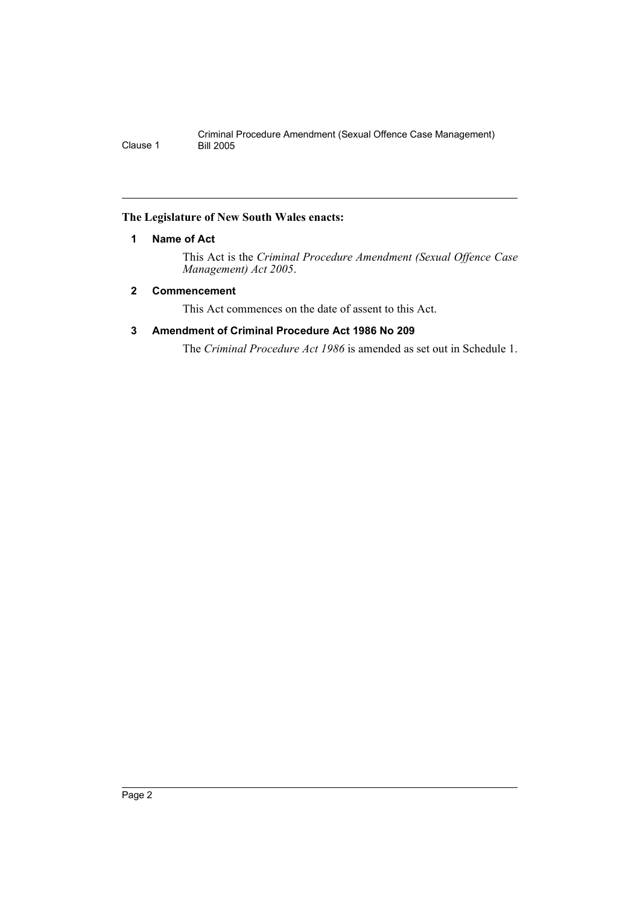### **The Legislature of New South Wales enacts:**

### **1 Name of Act**

This Act is the *Criminal Procedure Amendment (Sexual Offence Case Management) Act 2005*.

### **2 Commencement**

This Act commences on the date of assent to this Act.

### **3 Amendment of Criminal Procedure Act 1986 No 209**

The *Criminal Procedure Act 1986* is amended as set out in Schedule 1.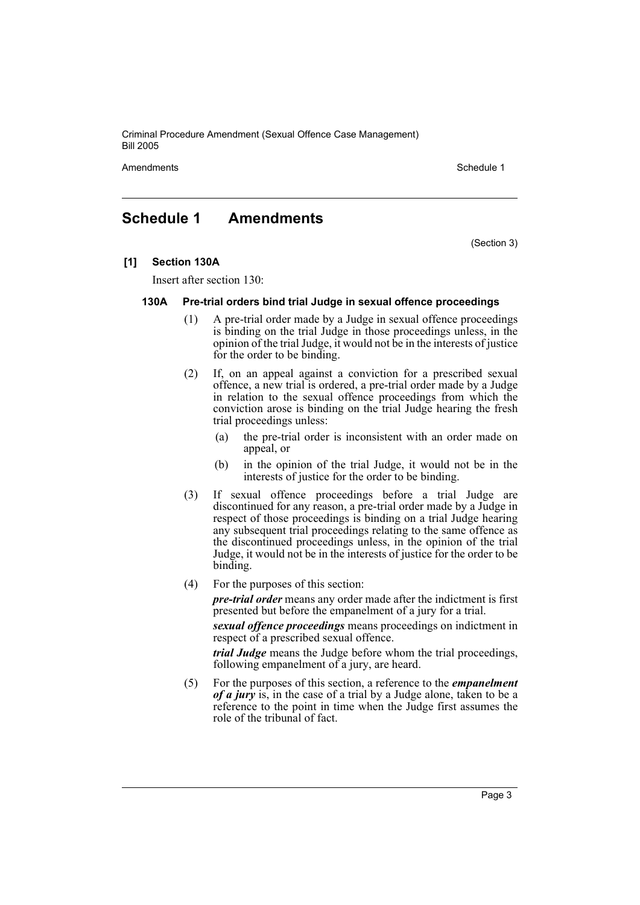Criminal Procedure Amendment (Sexual Offence Case Management) Bill 2005

Amendments **Amendments** Schedule 1

### **Schedule 1 Amendments**

(Section 3)

**[1] Section 130A**

Insert after section 130:

#### **130A Pre-trial orders bind trial Judge in sexual offence proceedings**

- (1) A pre-trial order made by a Judge in sexual offence proceedings is binding on the trial Judge in those proceedings unless, in the opinion of the trial Judge, it would not be in the interests of justice for the order to be binding.
- (2) If, on an appeal against a conviction for a prescribed sexual offence, a new trial is ordered, a pre-trial order made by a Judge in relation to the sexual offence proceedings from which the conviction arose is binding on the trial Judge hearing the fresh trial proceedings unless:
	- (a) the pre-trial order is inconsistent with an order made on appeal, or
	- (b) in the opinion of the trial Judge, it would not be in the interests of justice for the order to be binding.
- (3) If sexual offence proceedings before a trial Judge are discontinued for any reason, a pre-trial order made by a Judge in respect of those proceedings is binding on a trial Judge hearing any subsequent trial proceedings relating to the same offence as the discontinued proceedings unless, in the opinion of the trial Judge, it would not be in the interests of justice for the order to be binding.
- (4) For the purposes of this section:

*pre-trial order* means any order made after the indictment is first presented but before the empanelment of a jury for a trial.

*sexual offence proceedings* means proceedings on indictment in respect of a prescribed sexual offence.

*trial Judge* means the Judge before whom the trial proceedings, following empanelment of a jury, are heard.

(5) For the purposes of this section, a reference to the *empanelment of a jury* is, in the case of a trial by a Judge alone, taken to be a reference to the point in time when the Judge first assumes the role of the tribunal of fact.